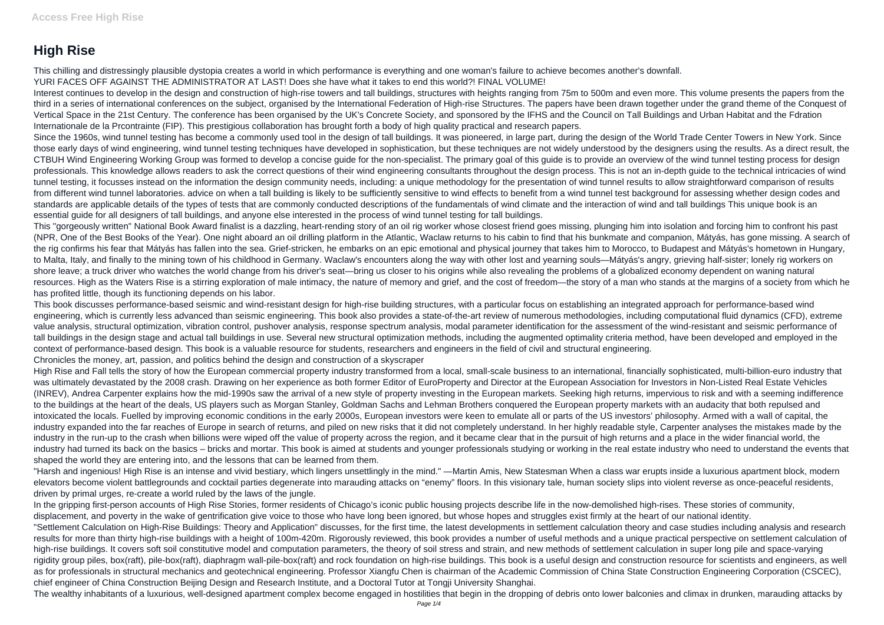## **High Rise**

This chilling and distressingly plausible dystopia creates a world in which performance is everything and one woman's failure to achieve becomes another's downfall. YURI FACES OFF AGAINST THE ADMINISTRATOR AT LAST! Does she have what it takes to end this world?! FINAL VOLUME!

Interest continues to develop in the design and construction of high-rise towers and tall buildings, structures with heights ranging from 75m to 500m and even more. This volume presents the papers from the third in a series of international conferences on the subject, organised by the International Federation of High-rise Structures. The papers have been drawn together under the grand theme of the Conquest of Vertical Space in the 21st Century. The conference has been organised by the UK's Concrete Society, and sponsored by the IFHS and the Council on Tall Buildings and Urban Habitat and the Fdration Internationale de la Prcontrainte (FIP). This prestigious collaboration has brought forth a body of high quality practical and research papers.

Since the 1960s, wind tunnel testing has become a commonly used tool in the design of tall buildings. It was pioneered, in large part, during the design of the World Trade Center Towers in New York. Since those early days of wind engineering, wind tunnel testing techniques have developed in sophistication, but these techniques are not widely understood by the designers using the results. As a direct result, the CTBUH Wind Engineering Working Group was formed to develop a concise guide for the non-specialist. The primary goal of this guide is to provide an overview of the wind tunnel testing process for design professionals. This knowledge allows readers to ask the correct questions of their wind engineering consultants throughout the design process. This is not an in-depth guide to the technical intricacies of wind tunnel testing, it focusses instead on the information the design community needs, including: a unique methodology for the presentation of wind tunnel results to allow straightforward comparison of results from different wind tunnel laboratories. advice on when a tall building is likely to be sufficiently sensitive to wind effects to benefit from a wind tunnel test background for assessing whether design codes and standards are applicable details of the types of tests that are commonly conducted descriptions of the fundamentals of wind climate and the interaction of wind and tall buildings This unique book is an essential guide for all designers of tall buildings, and anyone else interested in the process of wind tunnel testing for tall buildings.

This "gorgeously written" National Book Award finalist is a dazzling, heart-rending story of an oil rig worker whose closest friend goes missing, plunging him into isolation and forcing him to confront his past (NPR, One of the Best Books of the Year). One night aboard an oil drilling platform in the Atlantic, Waclaw returns to his cabin to find that his bunkmate and companion, Mátyás, has gone missing. A search of the rig confirms his fear that Mátyás has fallen into the sea. Grief-stricken, he embarks on an epic emotional and physical journey that takes him to Morocco, to Budapest and Mátyás's hometown in Hungary, to Malta, Italy, and finally to the mining town of his childhood in Germany. Waclaw's encounters along the way with other lost and yearning souls—Mátyás's angry, grieving half-sister; lonely rig workers on shore leave; a truck driver who watches the world change from his driver's seat—bring us closer to his origins while also revealing the problems of a globalized economy dependent on waning natural resources. High as the Waters Rise is a stirring exploration of male intimacy, the nature of memory and grief, and the cost of freedom—the story of a man who stands at the margins of a society from which he has profited little, though its functioning depends on his labor.

This book discusses performance-based seismic and wind-resistant design for high-rise building structures, with a particular focus on establishing an integrated approach for performance-based wind engineering, which is currently less advanced than seismic engineering. This book also provides a state-of-the-art review of numerous methodologies, including computational fluid dynamics (CFD), extreme value analysis, structural optimization, vibration control, pushover analysis, response spectrum analysis, modal parameter identification for the assessment of the wind-resistant and seismic performance of tall buildings in the design stage and actual tall buildings in use. Several new structural optimization methods, including the augmented optimality criteria method, have been developed and employed in the context of performance-based design. This book is a valuable resource for students, researchers and engineers in the field of civil and structural engineering. Chronicles the money, art, passion, and politics behind the design and construction of a skyscraper

High Rise and Fall tells the story of how the European commercial property industry transformed from a local, small-scale business to an international, financially sophisticated, multi-billion-euro industry that was ultimately devastated by the 2008 crash. Drawing on her experience as both former Editor of EuroProperty and Director at the European Association for Investors in Non-Listed Real Estate Vehicles (INREV), Andrea Carpenter explains how the mid-1990s saw the arrival of a new style of property investing in the European markets. Seeking high returns, impervious to risk and with a seeming indifference to the buildings at the heart of the deals, US players such as Morgan Stanley, Goldman Sachs and Lehman Brothers conquered the European property markets with an audacity that both repulsed and intoxicated the locals. Fuelled by improving economic conditions in the early 2000s, European investors were keen to emulate all or parts of the US investors' philosophy. Armed with a wall of capital, the industry expanded into the far reaches of Europe in search of returns, and piled on new risks that it did not completely understand. In her highly readable style, Carpenter analyses the mistakes made by the industry in the run-up to the crash when billions were wiped off the value of property across the region, and it became clear that in the pursuit of high returns and a place in the wider financial world, the industry had turned its back on the basics – bricks and mortar. This book is aimed at students and younger professionals studying or working in the real estate industry who need to understand the events that shaped the world they are entering into, and the lessons that can be learned from them.

"Harsh and ingenious! High Rise is an intense and vivid bestiary, which lingers unsettlingly in the mind." —Martin Amis, New Statesman When a class war erupts inside a luxurious apartment block, modern elevators become violent battlegrounds and cocktail parties degenerate into marauding attacks on "enemy" floors. In this visionary tale, human society slips into violent reverse as once-peaceful residents, driven by primal urges, re-create a world ruled by the laws of the jungle.

In the gripping first-person accounts of High Rise Stories, former residents of Chicago's iconic public housing projects describe life in the now-demolished high-rises. These stories of community, displacement, and poverty in the wake of gentrification give voice to those who have long been ignored, but whose hopes and struggles exist firmly at the heart of our national identity. "Settlement Calculation on High-Rise Buildings: Theory and Application" discusses, for the first time, the latest developments in settlement calculation theory and case studies including analysis and research results for more than thirty high-rise buildings with a height of 100m-420m. Rigorously reviewed, this book provides a number of useful methods and a unique practical perspective on settlement calculation of high-rise buildings. It covers soft soil constitutive model and computation parameters, the theory of soil stress and strain, and new methods of settlement calculation in super long pile and space-varying rigidity group piles, box(raft), pile-box(raft), diaphragm wall-pile-box(raft) and rock foundation on high-rise buildings. This book is a useful design and construction resource for scientists and engineers, as well as for professionals in structural mechanics and geotechnical engineering. Professor Xiangfu Chen is chairman of the Academic Commission of China State Construction Engineering Corporation (CSCEC), chief engineer of China Construction Beijing Design and Research Institute, and a Doctoral Tutor at Tongji University Shanghai.

The wealthy inhabitants of a luxurious, well-designed apartment complex become engaged in hostilities that begin in the dropping of debris onto lower balconies and climax in drunken, marauding attacks by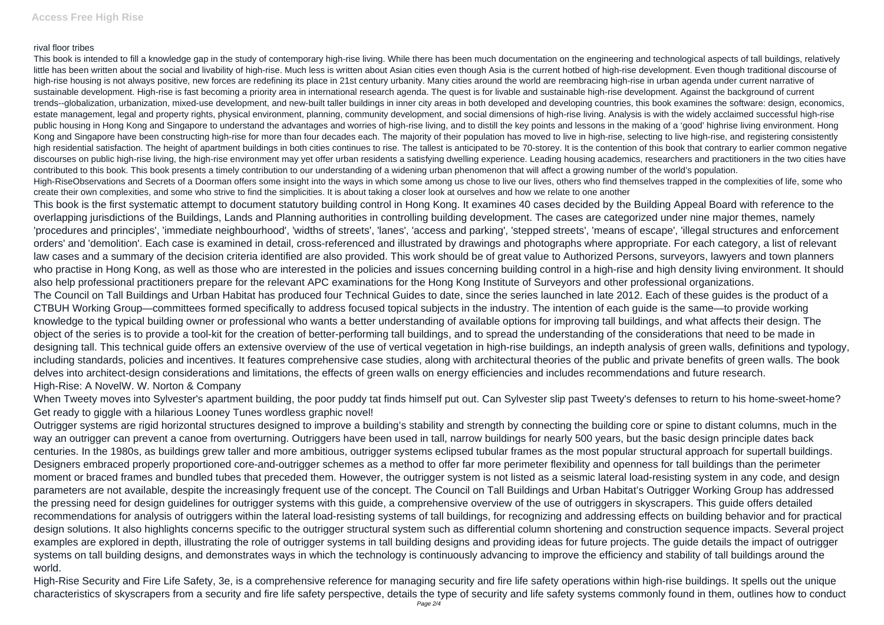## rival floor tribes

This book is intended to fill a knowledge gap in the study of contemporary high-rise living. While there has been much documentation on the engineering and technological aspects of tall buildings, relatively little has been written about the social and livability of high-rise. Much less is written about Asian cities even though Asia is the current hotbed of high-rise development. Even though traditional discourse of high-rise housing is not always positive, new forces are redefining its place in 21st century urbanity. Many cities around the world are reembracing high-rise in urban agenda under current narrative of sustainable development. High-rise is fast becoming a priority area in international research agenda. The quest is for livable and sustainable high-rise development. Against the background of current trends--globalization, urbanization, mixed-use development, and new-built taller buildings in inner city areas in both developed and developing countries, this book examines the software: design, economics, estate management, legal and property rights, physical environment, planning, community development, and social dimensions of high-rise living. Analysis is with the widely acclaimed successful high-rise public housing in Hong Kong and Singapore to understand the advantages and worries of high-rise living, and to distill the key points and lessons in the making of a 'good' highrise living environment. Hong Kong and Singapore have been constructing high-rise for more than four decades each. The majority of their population has moved to live in high-rise, selecting to live high-rise, and registering consistently high residential satisfaction. The height of apartment buildings in both cities continues to rise. The tallest is anticipated to be 70-storey. It is the contention of this book that contrary to earlier common negative discourses on public high-rise living, the high-rise environment may vet offer urban residents a satisfying dwelling experience. Leading housing academics, researchers and practitioners in the two cities have contributed to this book. This book presents a timely contribution to our understanding of a widening urban phenomenon that will affect a growing number of the world's population. High-RiseObservations and Secrets of a Doorman offers some insight into the ways in which some among us chose to live our lives, others who find themselves trapped in the complexities of life, some who create their own complexities, and some who strive to find the simplicities. It is about taking a closer look at ourselves and how we relate to one another

This book is the first systematic attempt to document statutory building control in Hong Kong. It examines 40 cases decided by the Building Appeal Board with reference to the overlapping jurisdictions of the Buildings, Lands and Planning authorities in controlling building development. The cases are categorized under nine major themes, namely 'procedures and principles', 'immediate neighbourhood', 'widths of streets', 'lanes', 'access and parking', 'stepped streets', 'means of escape', 'illegal structures and enforcement orders' and 'demolition'. Each case is examined in detail, cross-referenced and illustrated by drawings and photographs where appropriate. For each category, a list of relevant law cases and a summary of the decision criteria identified are also provided. This work should be of great value to Authorized Persons, surveyors, lawyers and town planners who practise in Hong Kong, as well as those who are interested in the policies and issues concerning building control in a high-rise and high density living environment. It should also help professional practitioners prepare for the relevant APC examinations for the Hong Kong Institute of Surveyors and other professional organizations. The Council on Tall Buildings and Urban Habitat has produced four Technical Guides to date, since the series launched in late 2012. Each of these guides is the product of a CTBUH Working Group—committees formed specifically to address focused topical subjects in the industry. The intention of each guide is the same—to provide working knowledge to the typical building owner or professional who wants a better understanding of available options for improving tall buildings, and what affects their design. The object of the series is to provide a tool-kit for the creation of better-performing tall buildings, and to spread the understanding of the considerations that need to be made in designing tall. This technical guide offers an extensive overview of the use of vertical vegetation in high-rise buildings, an indepth analysis of green walls, definitions and typology, including standards, policies and incentives. It features comprehensive case studies, along with architectural theories of the public and private benefits of green walls. The book delves into architect-design considerations and limitations, the effects of green walls on energy efficiencies and includes recommendations and future research. High-Rise: A NovelW. W. Norton & Company

When Tweety moves into Sylvester's apartment building, the poor puddy tat finds himself put out. Can Sylvester slip past Tweety's defenses to return to his home-sweet-home? Get ready to giggle with a hilarious Looney Tunes wordless graphic novel!

Outrigger systems are rigid horizontal structures designed to improve a building's stability and strength by connecting the building core or spine to distant columns, much in the way an outrigger can prevent a canoe from overturning. Outriggers have been used in tall, narrow buildings for nearly 500 years, but the basic design principle dates back centuries. In the 1980s, as buildings grew taller and more ambitious, outrigger systems eclipsed tubular frames as the most popular structural approach for supertall buildings. Designers embraced properly proportioned core-and-outrigger schemes as a method to offer far more perimeter flexibility and openness for tall buildings than the perimeter moment or braced frames and bundled tubes that preceded them. However, the outrigger system is not listed as a seismic lateral load-resisting system in any code, and design parameters are not available, despite the increasingly frequent use of the concept. The Council on Tall Buildings and Urban Habitat's Outrigger Working Group has addressed the pressing need for design guidelines for outrigger systems with this guide, a comprehensive overview of the use of outriggers in skyscrapers. This guide offers detailed recommendations for analysis of outriggers within the lateral load-resisting systems of tall buildings, for recognizing and addressing effects on building behavior and for practical design solutions. It also highlights concerns specific to the outrigger structural system such as differential column shortening and construction sequence impacts. Several project examples are explored in depth, illustrating the role of outrigger systems in tall building designs and providing ideas for future projects. The guide details the impact of outrigger systems on tall building designs, and demonstrates ways in which the technology is continuously advancing to improve the efficiency and stability of tall buildings around the world.

High-Rise Security and Fire Life Safety, 3e, is a comprehensive reference for managing security and fire life safety operations within high-rise buildings. It spells out the unique characteristics of skyscrapers from a security and fire life safety perspective, details the type of security and life safety systems commonly found in them, outlines how to conduct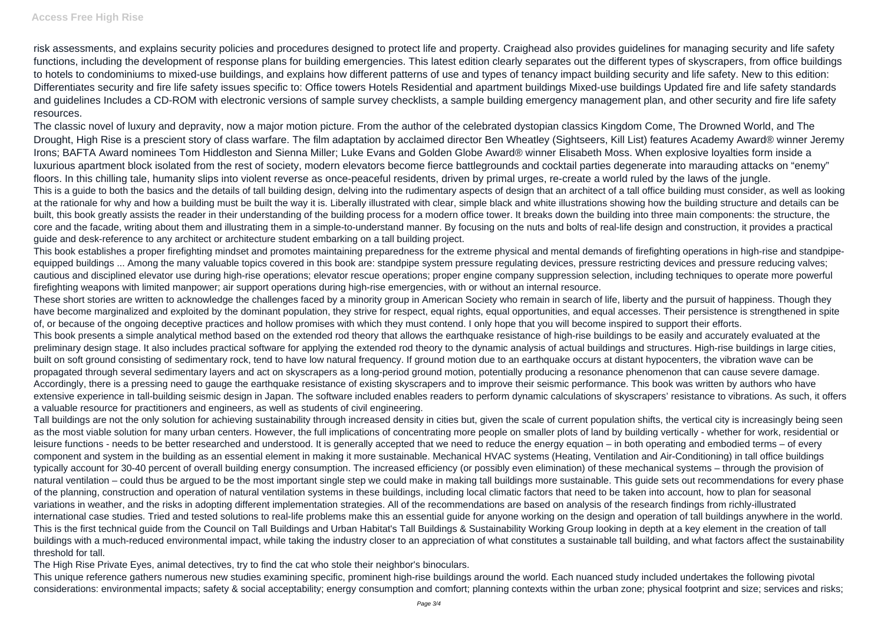risk assessments, and explains security policies and procedures designed to protect life and property. Craighead also provides guidelines for managing security and life safety functions, including the development of response plans for building emergencies. This latest edition clearly separates out the different types of skyscrapers, from office buildings to hotels to condominiums to mixed-use buildings, and explains how different patterns of use and types of tenancy impact building security and life safety. New to this edition: Differentiates security and fire life safety issues specific to: Office towers Hotels Residential and apartment buildings Mixed-use buildings Updated fire and life safety standards and guidelines Includes a CD-ROM with electronic versions of sample survey checklists, a sample building emergency management plan, and other security and fire life safety resources.

The classic novel of luxury and depravity, now a major motion picture. From the author of the celebrated dystopian classics Kingdom Come, The Drowned World, and The Drought, High Rise is a prescient story of class warfare. The film adaptation by acclaimed director Ben Wheatley (Sightseers, Kill List) features Academy Award® winner Jeremy Irons; BAFTA Award nominees Tom Hiddleston and Sienna Miller; Luke Evans and Golden Globe Award® winner Elisabeth Moss. When explosive loyalties form inside a luxurious apartment block isolated from the rest of society, modern elevators become fierce battlegrounds and cocktail parties degenerate into marauding attacks on "enemy" floors. In this chilling tale, humanity slips into violent reverse as once-peaceful residents, driven by primal urges, re-create a world ruled by the laws of the jungle. This is a guide to both the basics and the details of tall building design, delving into the rudimentary aspects of design that an architect of a tall office building must consider, as well as looking at the rationale for why and how a building must be built the way it is. Liberally illustrated with clear, simple black and white illustrations showing how the building structure and details can be built, this book greatly assists the reader in their understanding of the building process for a modern office tower. It breaks down the building into three main components: the structure, the core and the facade, writing about them and illustrating them in a simple-to-understand manner. By focusing on the nuts and bolts of real-life design and construction, it provides a practical guide and desk-reference to any architect or architecture student embarking on a tall building project.

This book establishes a proper firefighting mindset and promotes maintaining preparedness for the extreme physical and mental demands of firefighting operations in high-rise and standpipeequipped buildings ... Among the many valuable topics covered in this book are: standpipe system pressure regulating devices, pressure restricting devices and pressure reducing valves; cautious and disciplined elevator use during high-rise operations; elevator rescue operations; proper engine company suppression selection, including techniques to operate more powerful firefighting weapons with limited manpower; air support operations during high-rise emergencies, with or without an internal resource.

These short stories are written to acknowledge the challenges faced by a minority group in American Society who remain in search of life, liberty and the pursuit of happiness. Though they have become marginalized and exploited by the dominant population, they strive for respect, equal rights, equal opportunities, and equal accesses. Their persistence is strengthened in spite of, or because of the ongoing deceptive practices and hollow promises with which they must contend. I only hope that you will become inspired to support their efforts. This book presents a simple analytical method based on the extended rod theory that allows the earthquake resistance of high-rise buildings to be easily and accurately evaluated at the preliminary design stage. It also includes practical software for applying the extended rod theory to the dynamic analysis of actual buildings and structures. High-rise buildings in large cities, built on soft ground consisting of sedimentary rock, tend to have low natural frequency. If ground motion due to an earthquake occurs at distant hypocenters, the vibration wave can be propagated through several sedimentary layers and act on skyscrapers as a long-period ground motion, potentially producing a resonance phenomenon that can cause severe damage. Accordingly, there is a pressing need to gauge the earthquake resistance of existing skyscrapers and to improve their seismic performance. This book was written by authors who have extensive experience in tall-building seismic design in Japan. The software included enables readers to perform dynamic calculations of skyscrapers' resistance to vibrations. As such, it offers a valuable resource for practitioners and engineers, as well as students of civil engineering.

Tall buildings are not the only solution for achieving sustainability through increased density in cities but, given the scale of current population shifts, the vertical city is increasingly being seen as the most viable solution for many urban centers. However, the full implications of concentrating more people on smaller plots of land by building vertically - whether for work, residential or leisure functions - needs to be better researched and understood. It is generally accepted that we need to reduce the energy equation – in both operating and embodied terms – of every component and system in the building as an essential element in making it more sustainable. Mechanical HVAC systems (Heating, Ventilation and Air-Conditioning) in tall office buildings typically account for 30-40 percent of overall building energy consumption. The increased efficiency (or possibly even elimination) of these mechanical systems – through the provision of natural ventilation – could thus be argued to be the most important single step we could make in making tall buildings more sustainable. This guide sets out recommendations for every phase of the planning, construction and operation of natural ventilation systems in these buildings, including local climatic factors that need to be taken into account, how to plan for seasonal variations in weather, and the risks in adopting different implementation strategies. All of the recommendations are based on analysis of the research findings from richly-illustrated international case studies. Tried and tested solutions to real-life problems make this an essential guide for anyone working on the design and operation of tall buildings anywhere in the world. This is the first technical guide from the Council on Tall Buildings and Urban Habitat's Tall Buildings & Sustainability Working Group looking in depth at a key element in the creation of tall buildings with a much-reduced environmental impact, while taking the industry closer to an appreciation of what constitutes a sustainable tall building, and what factors affect the sustainability threshold for tall.

The High Rise Private Eyes, animal detectives, try to find the cat who stole their neighbor's binoculars.

This unique reference gathers numerous new studies examining specific, prominent high-rise buildings around the world. Each nuanced study included undertakes the following pivotal considerations: environmental impacts; safety & social acceptability; energy consumption and comfort; planning contexts within the urban zone; physical footprint and size; services and risks;